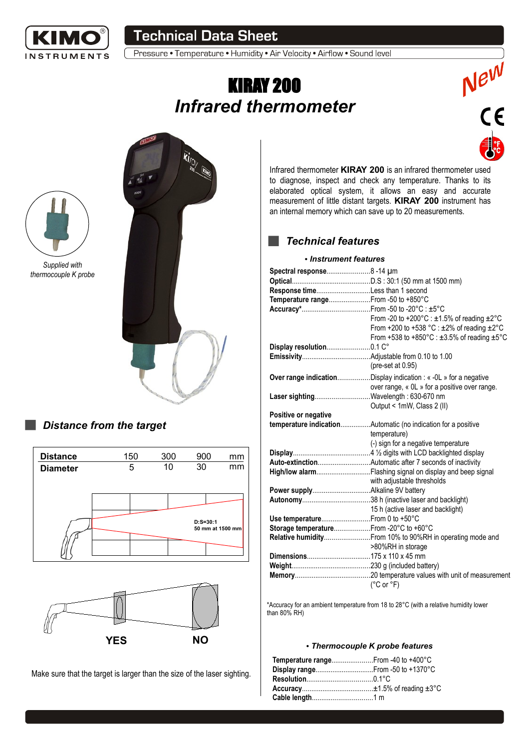

## **Technical Data Sheet**

Pressure • Temperature • Humidity • Air Velocity • Airflow • Sound level

# KIRAY 200 *Infrared thermometer*





## *Distance from the target*





Make sure that the target is larger than the size of the laser sighting.

Infrared thermometer **KIRAY 200** is an infrared thermometer used to diagnose, inspect and check any temperature. Thanks to its elaborated optical system, it allows an easy and accurate measurement of little distant targets. **KIRAY 200** instrument has an internal memory which can save up to 20 measurements.

New<br>CE

## *Technical features*

#### ● *Instrument features*

| Spectral response 8-14 um            |                                                                                                                                                                                           |  |
|--------------------------------------|-------------------------------------------------------------------------------------------------------------------------------------------------------------------------------------------|--|
|                                      |                                                                                                                                                                                           |  |
| Response timeLess than 1 second      |                                                                                                                                                                                           |  |
| Temperature rangeFrom -50 to +850°C  |                                                                                                                                                                                           |  |
|                                      |                                                                                                                                                                                           |  |
|                                      | From -20 to +200 $^{\circ}$ C : ±1.5% of reading ±2 $^{\circ}$ C<br>From +200 to +538 °C : $\pm$ 2% of reading $\pm$ 2°C<br>From +538 to +850°C : $\pm 3.5\%$ of reading $\pm 5\degree$ C |  |
| Display resolution0.1 C°             |                                                                                                                                                                                           |  |
|                                      | (pre-set at 0.95)                                                                                                                                                                         |  |
|                                      | <b>Over range indication</b> Display indication : « -0L » for a negative<br>over range, « OL » for a positive over range.                                                                 |  |
| Laser sightingWavelength: 630-670 nm | Output < 1mW, Class 2 (II)                                                                                                                                                                |  |
| Positive or negative                 |                                                                                                                                                                                           |  |
|                                      | temperature indicationAutomatic (no indication for a positive                                                                                                                             |  |
|                                      | temperature)                                                                                                                                                                              |  |
|                                      | (-) sign for a negative temperature                                                                                                                                                       |  |
|                                      |                                                                                                                                                                                           |  |
|                                      |                                                                                                                                                                                           |  |
|                                      | with adjustable thresholds                                                                                                                                                                |  |
|                                      |                                                                                                                                                                                           |  |
|                                      |                                                                                                                                                                                           |  |
|                                      | 15 h (active laser and backlight)                                                                                                                                                         |  |
| Use temperature From 0 to +50°C      |                                                                                                                                                                                           |  |
|                                      |                                                                                                                                                                                           |  |
|                                      | Storage temperatureFrom-20°C to +60°C                                                                                                                                                     |  |
|                                      | Relative humidity From 10% to 90%RH in operating mode and                                                                                                                                 |  |
|                                      | >80%RH in storage                                                                                                                                                                         |  |
|                                      |                                                                                                                                                                                           |  |
|                                      |                                                                                                                                                                                           |  |
|                                      | $(^{\circ}C$ or $^{\circ}F)$                                                                                                                                                              |  |

\*Accuracy for an ambient temperature from 18 to 28°C (with a relative humidity lower than 80% RH)

#### ● *Thermocouple K probe features*